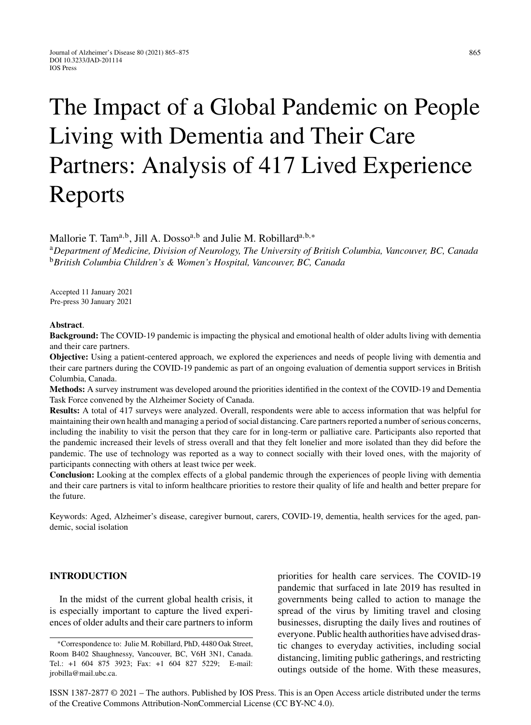# The Impact of a Global Pandemic on People Living with Dementia and Their Care Partners: Analysis of 417 Lived Experience Reports

Mallorie T. Tam<sup>a,b</sup>, Jill A. Dosso<sup>a,b</sup> and Julie M. Robillard<sup>a,b,\*</sup>

<sup>a</sup>*Department of Medicine, Division of Neurology, The University of British Columbia, Vancouver, BC, Canada* <sup>b</sup>*British Columbia Children's & Women's Hospital, Vancouver, BC, Canada*

Accepted 11 January 2021 Pre-press 30 January 2021

#### **Abstract**.

**Background:** The COVID-19 pandemic is impacting the physical and emotional health of older adults living with dementia and their care partners.

**Objective:** Using a patient-centered approach, we explored the experiences and needs of people living with dementia and their care partners during the COVID-19 pandemic as part of an ongoing evaluation of dementia support services in British Columbia, Canada.

**Methods:** A survey instrument was developed around the priorities identified in the context of the COVID-19 and Dementia Task Force convened by the Alzheimer Society of Canada.

**Results:** A total of 417 surveys were analyzed. Overall, respondents were able to access information that was helpful for maintaining their own health and managing a period of social distancing. Care partners reported a number of serious concerns, including the inability to visit the person that they care for in long-term or palliative care. Participants also reported that the pandemic increased their levels of stress overall and that they felt lonelier and more isolated than they did before the pandemic. The use of technology was reported as a way to connect socially with their loved ones, with the majority of participants connecting with others at least twice per week.

**Conclusion:** Looking at the complex effects of a global pandemic through the experiences of people living with dementia and their care partners is vital to inform healthcare priorities to restore their quality of life and health and better prepare for the future.

Keywords: Aged, Alzheimer's disease, caregiver burnout, carers, COVID-19, dementia, health services for the aged, pandemic, social isolation

# **INTRODUCTION**

In the midst of the current global health crisis, it is especially important to capture the lived experiences of older adults and their care partners to inform

priorities for health care services. The COVID-19 pandemic that surfaced in late 2019 has resulted in governments being called to action to manage the spread of the virus by limiting travel and closing businesses, disrupting the daily lives and routines of everyone. Public health authorities have advised drastic changes to everyday activities, including social distancing, limiting public gatherings, and restricting outings outside of the home. With these measures,

ISSN 1387-2877 © 2021 – The authors. Published by IOS Press. This is an Open Access article distributed under the terms of the [Creative Commons Attribution-NonCommercial License \(CC BY-NC 4.0\).](https://creativecommons.org/licenses/by-nc/4.0/)

<sup>∗</sup>Correspondence to: Julie M. Robillard, PhD, 4480 Oak Street, Room B402 Shaughnessy, Vancouver, BC, V6H 3N1, Canada. Tel.: +1 604 875 3923; Fax: +1 604 827 5229; E-mail: [jrobilla@mail.ubc.ca](mailto:jrobilla@mail.ubc.ca).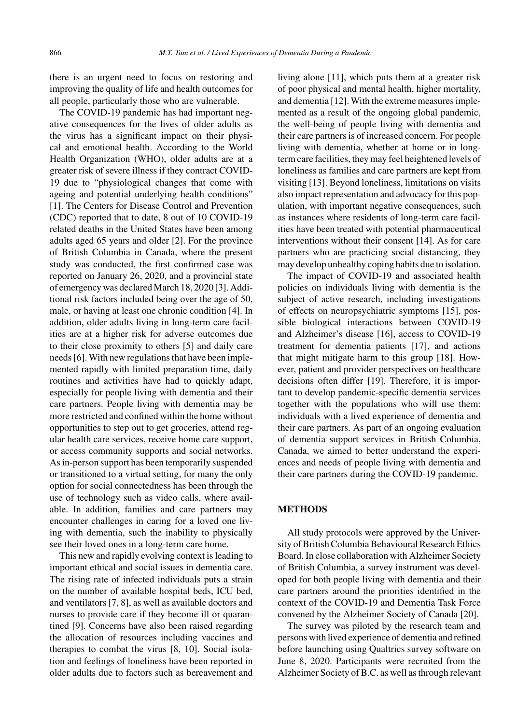there is an urgent need to focus on restoring and improving the quality of life and health outcomes for all people, particularly those who are vulnerable.

The COVID-19 pandemic has had important negative consequences for the lives of older adults as the virus has a significant impact on their physical and emotional health. According to the World Health Organization (WHO), older adults are at a greater risk of severe illness if they contract COVID-19 due to "physiological changes that come with ageing and potential underlying health conditions" [1]. The Centers for Disease Control and Prevention (CDC) reported that to date, 8 out of 10 COVID-19 related deaths in the United States have been among adults aged 65 years and older [2]. For the province of British Columbia in Canada, where the present study was conducted, the first confirmed case was reported on January 26, 2020, and a provincial state of emergency was declared March 18, 2020 [3]. Additional risk factors included being over the age of 50, male, or having at least one chronic condition [4]. In addition, older adults living in long-term care facilities are at a higher risk for adverse outcomes due to their close proximity to others [5] and daily care needs [6]. With new regulations that have been implemented rapidly with limited preparation time, daily routines and activities have had to quickly adapt, especially for people living with dementia and their care partners. People living with dementia may be more restricted and confined within the home without opportunities to step out to get groceries, attend regular health care services, receive home care support, or access community supports and social networks. As in-person support has been temporarily suspended or transitioned to a virtual setting, for many the only option for social connectedness has been through the use of technology such as video calls, where available. In addition, families and care partners may encounter challenges in caring for a loved one living with dementia, such the inability to physically see their loved ones in a long-term care home.

This new and rapidly evolving context is leading to important ethical and social issues in dementia care. The rising rate of infected individuals puts a strain on the number of available hospital beds, ICU bed, and ventilators [7, 8], as well as available doctors and nurses to provide care if they become ill or quarantined [9]. Concerns have also been raised regarding the allocation of resources including vaccines and therapies to combat the virus [8, 10]. Social isolation and feelings of loneliness have been reported in older adults due to factors such as bereavement and living alone [11], which puts them at a greater risk of poor physical and mental health, higher mortality, and dementia [12]. With the extreme measures implemented as a result of the ongoing global pandemic, the well-being of people living with dementia and their care partners is of increased concern. For people living with dementia, whether at home or in longterm care facilities, they may feel heightened levels of loneliness as families and care partners are kept from visiting [13]. Beyond loneliness, limitations on visits also impact representation and advocacy for this population, with important negative consequences, such as instances where residents of long-term care facilities have been treated with potential pharmaceutical interventions without their consent [14]. As for care partners who are practicing social distancing, they may develop unhealthy coping habits due to isolation.

The impact of COVID-19 and associated health policies on individuals living with dementia is the subject of active research, including investigations of effects on neuropsychiatric symptoms [15], possible biological interactions between COVID-19 and Alzheimer's disease [16], access to COVID-19 treatment for dementia patients [17], and actions that might mitigate harm to this group [18]. However, patient and provider perspectives on healthcare decisions often differ [19]. Therefore, it is important to develop pandemic-specific dementia services together with the populations who will use them: individuals with a lived experience of dementia and their care partners. As part of an ongoing evaluation of dementia support services in British Columbia, Canada, we aimed to better understand the experiences and needs of people living with dementia and their care partners during the COVID-19 pandemic.

## **METHODS**

All study protocols were approved by the University of British Columbia Behavioural Research Ethics Board. In close collaboration with Alzheimer Society of British Columbia, a survey instrument was developed for both people living with dementia and their care partners around the priorities identified in the context of the COVID-19 and Dementia Task Force convened by the Alzheimer Society of Canada [20].

The survey was piloted by the research team and persons with lived experience of dementia and refined before launching using Qualtrics survey software on June 8, 2020. Participants were recruited from the Alzheimer Society of B.C. as well as through relevant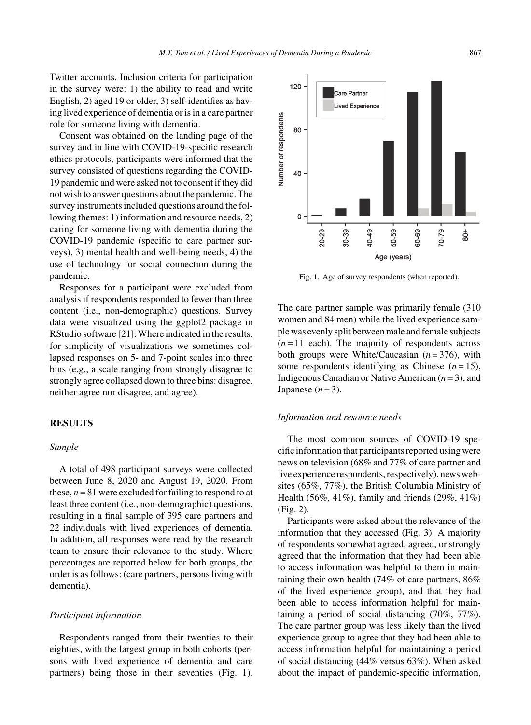Twitter accounts. Inclusion criteria for participation in the survey were: 1) the ability to read and write English, 2) aged 19 or older, 3) self-identifies as having lived experience of dementia or is in a care partner role for someone living with dementia.

Consent was obtained on the landing page of the survey and in line with COVID-19-specific research ethics protocols, participants were informed that the survey consisted of questions regarding the COVID-19 pandemic and were asked not to consent if they did not wish to answer questions about the pandemic. The survey instruments included questions around the following themes: 1) information and resource needs, 2) caring for someone living with dementia during the COVID-19 pandemic (specific to care partner surveys), 3) mental health and well-being needs, 4) the use of technology for social connection during the pandemic.

Responses for a participant were excluded from analysis if respondents responded to fewer than three content (i.e., non-demographic) questions. Survey data were visualized using the ggplot2 package in RStudio software [21]. Where indicated in the results, for simplicity of visualizations we sometimes collapsed responses on 5- and 7-point scales into three bins (e.g., a scale ranging from strongly disagree to strongly agree collapsed down to three bins: disagree, neither agree nor disagree, and agree).

## **RESULTS**

## *Sample*

A total of 498 participant surveys were collected between June 8, 2020 and August 19, 2020. From these,  $n = 81$  were excluded for failing to respond to at least three content (i.e., non-demographic) questions, resulting in a final sample of 395 care partners and 22 individuals with lived experiences of dementia. In addition, all responses were read by the research team to ensure their relevance to the study. Where percentages are reported below for both groups, the order is as follows: (care partners, persons living with dementia).

### *Participant information*

Respondents ranged from their twenties to their eighties, with the largest group in both cohorts (persons with lived experience of dementia and care partners) being those in their seventies (Fig. 1).



Fig. 1. Age of survey respondents (when reported).

The care partner sample was primarily female (310 women and 84 men) while the lived experience sample was evenly split between male and female subjects  $(n=11 \text{ each})$ . The majority of respondents across both groups were White/Caucasian (*n* = 376), with some respondents identifying as Chinese  $(n=15)$ , Indigenous Canadian or Native American (*n* = 3), and Japanese  $(n=3)$ .

## *Information and resource needs*

The most common sources of COVID-19 specific information that participants reported using were news on television (68% and 77% of care partner and live experience respondents, respectively), news websites (65%, 77%), the British Columbia Ministry of Health (56%, 41%), family and friends (29%, 41%) (Fig. 2).

Participants were asked about the relevance of the information that they accessed (Fig. 3). A majority of respondents somewhat agreed, agreed, or strongly agreed that the information that they had been able to access information was helpful to them in maintaining their own health (74% of care partners, 86% of the lived experience group), and that they had been able to access information helpful for maintaining a period of social distancing (70%, 77%). The care partner group was less likely than the lived experience group to agree that they had been able to access information helpful for maintaining a period of social distancing (44% versus 63%). When asked about the impact of pandemic-specific information,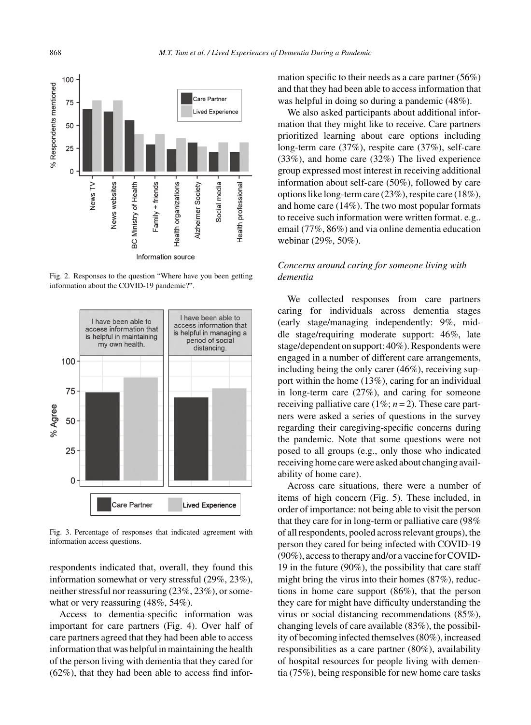

Fig. 2. Responses to the question "Where have you been getting information about the COVID-19 pandemic?".



Fig. 3. Percentage of responses that indicated agreement with information access questions.

respondents indicated that, overall, they found this information somewhat or very stressful (29%, 23%), neither stressful nor reassuring (23%, 23%), or somewhat or very reassuring (48%, 54%).

Access to dementia-specific information was important for care partners (Fig. 4). Over half of care partners agreed that they had been able to access information that was helpful in maintaining the health of the person living with dementia that they cared for (62%), that they had been able to access find information specific to their needs as a care partner (56%) and that they had been able to access information that was helpful in doing so during a pandemic (48%).

We also asked participants about additional information that they might like to receive. Care partners prioritized learning about care options including long-term care (37%), respite care (37%), self-care (33%), and home care (32%) The lived experience group expressed most interest in receiving additional information about self-care (50%), followed by care options like long-term care (23%), respite care (18%), and home care (14%). The two most popular formats to receive such information were written format. e.g.. email (77%, 86%) and via online dementia education webinar (29%, 50%).

# *Concerns around caring for someone living with dementia*

We collected responses from care partners caring for individuals across dementia stages (early stage/managing independently: 9%, middle stage/requiring moderate support: 46%, late stage/dependent on support: 40%). Respondents were engaged in a number of different care arrangements, including being the only carer (46%), receiving support within the home (13%), caring for an individual in long-term care (27%), and caring for someone receiving palliative care  $(1\%; n=2)$ . These care partners were asked a series of questions in the survey regarding their caregiving-specific concerns during the pandemic. Note that some questions were not posed to all groups (e.g., only those who indicated receiving home care were asked about changing availability of home care).

Across care situations, there were a number of items of high concern (Fig. 5). These included, in order of importance: not being able to visit the person that they care for in long-term or palliative care (98% of all respondents, pooled across relevant groups), the person they cared for being infected with COVID-19 (90%), access to therapy and/or a vaccine for COVID-19 in the future (90%), the possibility that care staff might bring the virus into their homes (87%), reductions in home care support (86%), that the person they care for might have difficulty understanding the virus or social distancing recommendations (85%), changing levels of care available (83%), the possibility of becoming infected themselves (80%), increased responsibilities as a care partner (80%), availability of hospital resources for people living with dementia (75%), being responsible for new home care tasks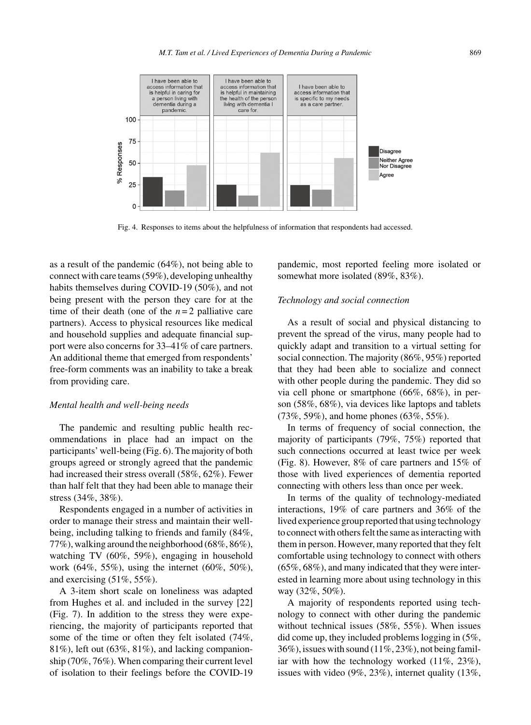

Fig. 4. Responses to items about the helpfulness of information that respondents had accessed.

as a result of the pandemic (64%), not being able to connect with care teams (59%), developing unhealthy habits themselves during COVID-19 (50%), and not being present with the person they care for at the time of their death (one of the  $n=2$  palliative care partners). Access to physical resources like medical and household supplies and adequate financial support were also concerns for 33–41% of care partners. An additional theme that emerged from respondents' free-form comments was an inability to take a break from providing care.

#### *Mental health and well-being needs*

The pandemic and resulting public health recommendations in place had an impact on the participants' well-being (Fig. 6). The majority of both groups agreed or strongly agreed that the pandemic had increased their stress overall (58%, 62%). Fewer than half felt that they had been able to manage their stress (34%, 38%).

Respondents engaged in a number of activities in order to manage their stress and maintain their wellbeing, including talking to friends and family (84%, 77%), walking around the neighborhood (68%, 86%), watching TV (60%, 59%), engaging in household work (64%, 55%), using the internet (60%, 50%), and exercising (51%, 55%).

A 3-item short scale on loneliness was adapted from Hughes et al. and included in the survey [22] (Fig. 7). In addition to the stress they were experiencing, the majority of participants reported that some of the time or often they felt isolated (74%, 81%), left out (63%, 81%), and lacking companionship (70%, 76%). When comparing their current level of isolation to their feelings before the COVID-19

pandemic, most reported feeling more isolated or somewhat more isolated (89%, 83%).

## *Technology and social connection*

As a result of social and physical distancing to prevent the spread of the virus, many people had to quickly adapt and transition to a virtual setting for social connection. The majority (86%, 95%) reported that they had been able to socialize and connect with other people during the pandemic. They did so via cell phone or smartphone (66%, 68%), in person (58%, 68%), via devices like laptops and tablets (73%, 59%), and home phones (63%, 55%).

In terms of frequency of social connection, the majority of participants (79%, 75%) reported that such connections occurred at least twice per week (Fig. 8). However, 8% of care partners and 15% of those with lived experiences of dementia reported connecting with others less than once per week.

In terms of the quality of technology-mediated interactions, 19% of care partners and 36% of the lived experience group reported that using technology to connect with others felt the same as interacting with them in person. However, many reported that they felt comfortable using technology to connect with others (65%, 68%), and many indicated that they were interested in learning more about using technology in this way (32%, 50%).

A majority of respondents reported using technology to connect with other during the pandemic without technical issues (58%, 55%). When issues did come up, they included problems logging in (5%, 36%), issues with sound (11%, 23%), not being familiar with how the technology worked (11%, 23%), issues with video (9%, 23%), internet quality (13%,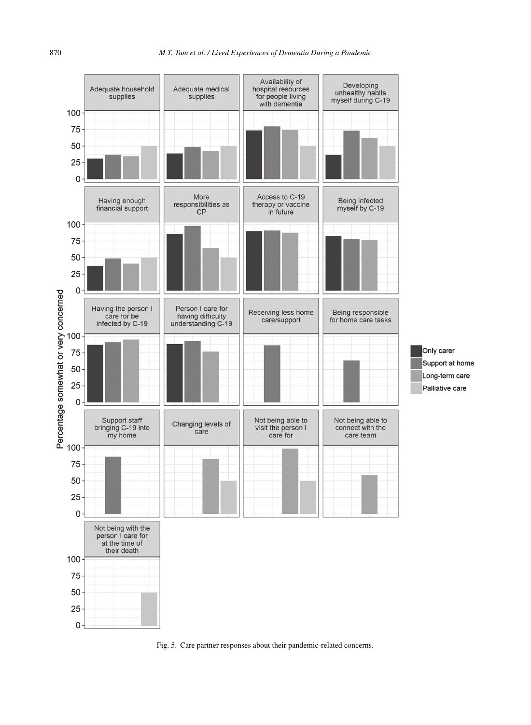

Fig. 5. Care partner responses about their pandemic-related concerns.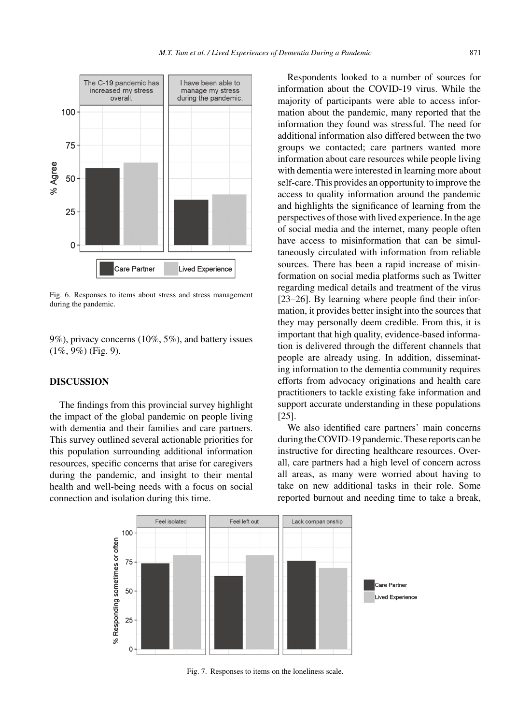

Fig. 6. Responses to items about stress and stress management during the pandemic.

9%), privacy concerns (10%, 5%), and battery issues (1%, 9%) (Fig. 9).

## **DISCUSSION**

The findings from this provincial survey highlight the impact of the global pandemic on people living with dementia and their families and care partners. This survey outlined several actionable priorities for this population surrounding additional information resources, specific concerns that arise for caregivers during the pandemic, and insight to their mental health and well-being needs with a focus on social connection and isolation during this time.

Respondents looked to a number of sources for information about the COVID-19 virus. While the majority of participants were able to access information about the pandemic, many reported that the information they found was stressful. The need for additional information also differed between the two groups we contacted; care partners wanted more information about care resources while people living with dementia were interested in learning more about self-care. This provides an opportunity to improve the access to quality information around the pandemic and highlights the significance of learning from the perspectives of those with lived experience. In the age of social media and the internet, many people often have access to misinformation that can be simultaneously circulated with information from reliable sources. There has been a rapid increase of misinformation on social media platforms such as Twitter regarding medical details and treatment of the virus [23–26]. By learning where people find their information, it provides better insight into the sources that they may personally deem credible. From this, it is important that high quality, evidence-based information is delivered through the different channels that people are already using. In addition, disseminating information to the dementia community requires efforts from advocacy originations and health care practitioners to tackle existing fake information and support accurate understanding in these populations [25].

We also identified care partners' main concerns during the COVID-19 pandemic. These reports can be instructive for directing healthcare resources. Overall, care partners had a high level of concern across all areas, as many were worried about having to take on new additional tasks in their role. Some reported burnout and needing time to take a break,



Fig. 7. Responses to items on the loneliness scale.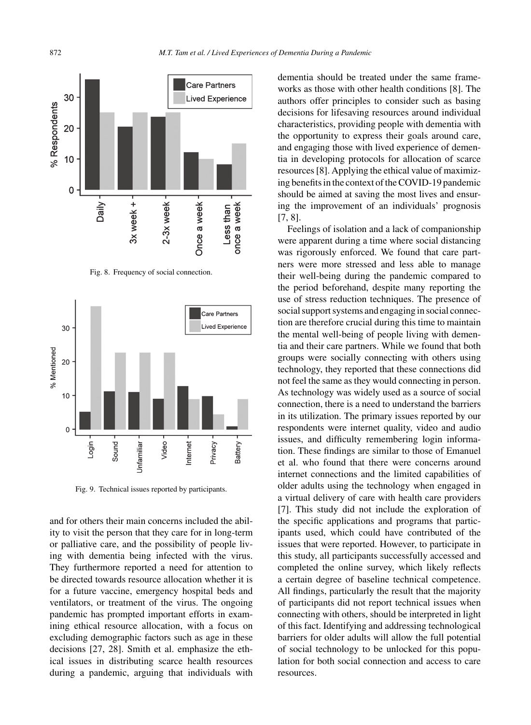

Fig. 8. Frequency of social connection.



Fig. 9. Technical issues reported by participants.

and for others their main concerns included the ability to visit the person that they care for in long-term or palliative care, and the possibility of people living with dementia being infected with the virus. They furthermore reported a need for attention to be directed towards resource allocation whether it is for a future vaccine, emergency hospital beds and ventilators, or treatment of the virus. The ongoing pandemic has prompted important efforts in examining ethical resource allocation, with a focus on excluding demographic factors such as age in these decisions [27, 28]. Smith et al. emphasize the ethical issues in distributing scarce health resources during a pandemic, arguing that individuals with

dementia should be treated under the same frameworks as those with other health conditions [8]. The authors offer principles to consider such as basing decisions for lifesaving resources around individual characteristics, providing people with dementia with the opportunity to express their goals around care, and engaging those with lived experience of dementia in developing protocols for allocation of scarce resources [8]. Applying the ethical value of maximizing benefits in the context of the COVID-19 pandemic should be aimed at saving the most lives and ensuring the improvement of an individuals' prognosis [7, 8].

Feelings of isolation and a lack of companionship were apparent during a time where social distancing was rigorously enforced. We found that care partners were more stressed and less able to manage their well-being during the pandemic compared to the period beforehand, despite many reporting the use of stress reduction techniques. The presence of social support systems and engaging in social connection are therefore crucial during this time to maintain the mental well-being of people living with dementia and their care partners. While we found that both groups were socially connecting with others using technology, they reported that these connections did not feel the same as they would connecting in person. As technology was widely used as a source of social connection, there is a need to understand the barriers in its utilization. The primary issues reported by our respondents were internet quality, video and audio issues, and difficulty remembering login information. These findings are similar to those of Emanuel et al. who found that there were concerns around internet connections and the limited capabilities of older adults using the technology when engaged in a virtual delivery of care with health care providers [7]. This study did not include the exploration of the specific applications and programs that participants used, which could have contributed of the issues that were reported. However, to participate in this study, all participants successfully accessed and completed the online survey, which likely reflects a certain degree of baseline technical competence. All findings, particularly the result that the majority of participants did not report technical issues when connecting with others, should be interpreted in light of this fact. Identifying and addressing technological barriers for older adults will allow the full potential of social technology to be unlocked for this population for both social connection and access to care resources.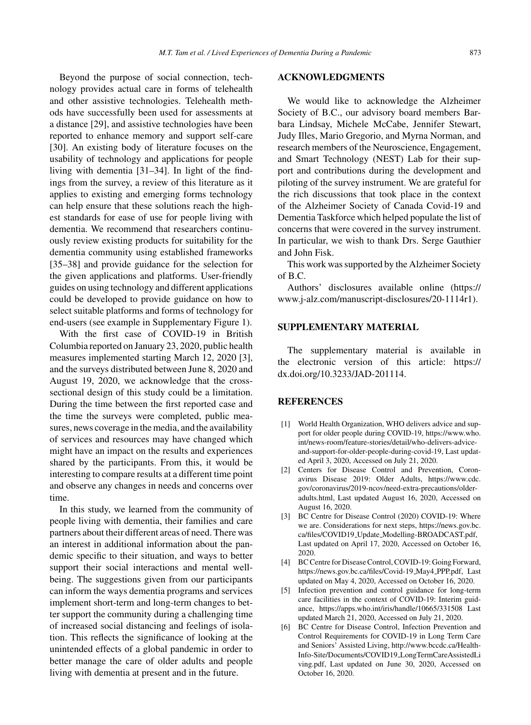Beyond the purpose of social connection, technology provides actual care in forms of telehealth and other assistive technologies. Telehealth methods have successfully been used for assessments at a distance [29], and assistive technologies have been reported to enhance memory and support self-care [30]. An existing body of literature focuses on the usability of technology and applications for people living with dementia [31–34]. In light of the findings from the survey, a review of this literature as it applies to existing and emerging forms technology can help ensure that these solutions reach the highest standards for ease of use for people living with dementia. We recommend that researchers continuously review existing products for suitability for the dementia community using established frameworks [35–38] and provide guidance for the selection for the given applications and platforms. User-friendly guides on using technology and different applications could be developed to provide guidance on how to select suitable platforms and forms of technology for end-users (see example in Supplementary Figure 1).

With the first case of COVID-19 in British Columbia reported on January 23, 2020, public health measures implemented starting March 12, 2020 [3], and the surveys distributed between June 8, 2020 and August 19, 2020, we acknowledge that the crosssectional design of this study could be a limitation. During the time between the first reported case and the time the surveys were completed, public measures, news coverage in the media, and the availability of services and resources may have changed which might have an impact on the results and experiences shared by the participants. From this, it would be interesting to compare results at a different time point and observe any changes in needs and concerns over time.

In this study, we learned from the community of people living with dementia, their families and care partners about their different areas of need. There was an interest in additional information about the pandemic specific to their situation, and ways to better support their social interactions and mental wellbeing. The suggestions given from our participants can inform the ways dementia programs and services implement short-term and long-term changes to better support the community during a challenging time of increased social distancing and feelings of isolation. This reflects the significance of looking at the unintended effects of a global pandemic in order to better manage the care of older adults and people living with dementia at present and in the future.

## **ACKNOWLEDGMENTS**

We would like to acknowledge the Alzheimer Society of B.C., our advisory board members Barbara Lindsay, Michele McCabe, Jennifer Stewart, Judy Illes, Mario Gregorio, and Myrna Norman, and research members of the Neuroscience, Engagement, and Smart Technology (NEST) Lab for their support and contributions during the development and piloting of the survey instrument. We are grateful for the rich discussions that took place in the context of the Alzheimer Society of Canada Covid-19 and Dementia Taskforce which helped populate the list of concerns that were covered in the survey instrument. In particular, we wish to thank Drs. Serge Gauthier and John Fisk.

This work was supported by the Alzheimer Society of B.C.

Authors' disclosures available online [\(https://](https://www.j-alz.com/manuscript-disclosures/20-1114r1) [www.j-alz.com/manuscript-disclosures/20-1114r1\)](https://www.j-alz.com/manuscript-disclosures/20-1114r1).

## **SUPPLEMENTARY MATERIAL**

The supplementary material is available in the electronic version of this article: [https://](https://dx.doi.org/10.3233/JAD-201114) [dx.doi.org/10.3233/JAD-201114](https://dx.doi.org/10.3233/JAD-201114).

#### **REFERENCES**

- [1] World Health Organization, WHO delivers advice and support for older people during COVID-19, [https://www.who.](https://www.who.int/news-room/feature-stories/detail/who-delivers-advice-and-support-for-older-people-during-covid-19) int/news-room/feature-stories/detail/who-delivers-adviceand-support-for-older-people-during-covid-19, Last updated April 3, 2020, Accessed on July 21, 2020.
- [2] Centers for Disease Control and Prevention, Coronavirus Disease 2019: Older Adults, [https://www.cdc.](https://www.cdc.gov/coronavirus/2019-ncov/need-extra-precautions/older-adults.html) gov/coronavirus/2019-ncov/need-extra-precautions/olderadults.html, Last updated August 16, 2020, Accessed on August 16, 2020.
- [3] BC Centre for Disease Control (2020) COVID-19: Where we are. Considerations for next steps, [https://news.gov.bc.](https://news.gov.bc.ca/files/COVID19_Update_Modelling-BROADCAST.pdf) ca/files/COVID19 Update Modelling-BROADCAST.pdf, Last updated on April 17, 2020, Accessed on October 16, 2020.
- [4] BC Centre for Disease Control, COVID-19: Going Forward, [https://news.gov.bc.ca/files/Covid-19](https://news.gov.bc.ca/files/Covid-19_May4_PPP.pdf) May4 PPP.pdf, Last updated on May 4, 2020, Accessed on October 16, 2020.
- [5] Infection prevention and control guidance for long-term care facilities in the context of COVID-19: Interim guidance,<https://apps.who.int/iris/handle/10665/331508> Last updated March 21, 2020, Accessed on July 21, 2020.
- [6] BC Centre for Disease Control, Infection Prevention and Control Requirements for COVID-19 in Long Term Care and Seniors' Assisted Living, [http://www.bccdc.ca/Health-](http://www.bccdc.ca/Health-Info-Site/Documents/COVID19_LongTermCareAssistedLiving.pdf)Info-Site/Documents/COVID19 LongTermCareAssistedLi ving.pdf, Last updated on June 30, 2020, Accessed on October 16, 2020.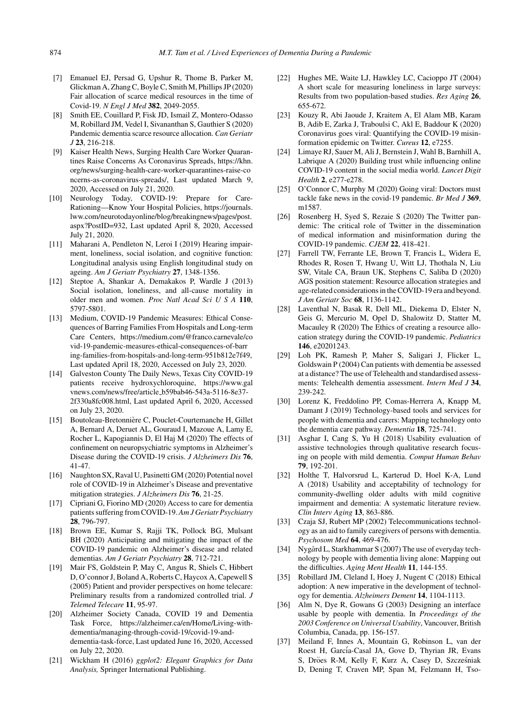- [7] Emanuel EJ, Persad G, Upshur R, Thome B, Parker M, Glickman A, Zhang C, Boyle C, Smith M, Phillips JP (2020) Fair allocation of scarce medical resources in the time of Covid-19. *N Engl J Med* **382**, 2049-2055.
- [8] Smith EE, Couillard P, Fisk JD, Ismail Z, Montero-Odasso M, Robillard JM, Vedel I, Sivananthan S, Gauthier S (2020) Pandemic dementia scarce resource allocation. *Can Geriatr J* **23**, 216-218.
- [9] Kaiser Health News, Surging Health Care Worker Quarantines Raise Concerns As Coronavirus Spreads, https://khn. org/news/surging-health-care-worker-quarantines-raise-co ncerns-as-coronavirus-spreads/, Last updated March 9, 2020, Accessed on July 21, 2020.
- [10] Neurology Today, COVID-19: Prepare for Care-Rationing—Know Your Hospital Policies, [https://journals.](https://journals.lww.com/neurotodayonline/blog/breakingnews/pages/post.aspx?PostID=932) lww.com/neurotodayonline/blog/breakingnews/pages/post. aspx?PostID=932, Last updated April 8, 2020, Accessed July 21, 2020.
- [11] Maharani A, Pendleton N, Leroi I (2019) Hearing impairment, loneliness, social isolation, and cognitive function: Longitudinal analysis using English longitudinal study on ageing. *Am J Geriatr Psychiatry* **27**, 1348-1356.
- [12] Steptoe A, Shankar A, Demakakos P, Wardle J (2013) Social isolation, loneliness, and all-cause mortality in older men and women. *Proc Natl Acad Sci U S A* **110**, 5797-5801.
- [13] Medium, COVID-19 Pandemic Measures: Ethical Consequences of Barring Families From Hospitals and Long-term Care Centers, https://medium.com/@franco.carnevale/co vid-19-pandemic-measures-ethical-consequences-of-barr ing-families-from-hospitals-and-long-term-951b812e7f49, Last updated April 18, 2020, Accessed on July 23, 2020.
- [14] Galveston County The Daily News, Texas City COVID-19 patients receive hydroxychloroquine, https://www.gal vnews.com/news/free/article b59bab46-543a-5116-8e37- 2f330a8fc008.html, Last updated April 6, 2020, Accessed on July 23, 2020.
- [15] Boutoleau-Bretonnière C, Pouclet-Courtemanche H, Gillet A, Bernard A, Deruet AL, Gouraud I, Mazoue A, Lamy E, Rocher L, Kapogiannis D, El Haj M (2020) The effects of confinement on neuropsychiatric symptoms in Alzheimer's Disease during the COVID-19 crisis. *J Alzheimers Dis* **76**, 41-47.
- [16] Naughton SX, Raval U, Pasinetti GM (2020) Potential novel role of COVID-19 in Alzheimer's Disease and preventative mitigation strategies. *J Alzheimers Dis* **76**, 21-25.
- [17] Cipriani G, Fiorino MD (2020) Access to care for dementia patients suffering from COVID-19. *Am J Geriatr Psychiatry* **28**, 796-797.
- [18] Brown EE, Kumar S, Rajji TK, Pollock BG, Mulsant BH (2020) Anticipating and mitigating the impact of the COVID-19 pandemic on Alzheimer's disease and related dementias. *Am J Geriatr Psychiatry* **28**, 712-721.
- [19] Mair FS, Goldstein P, May C, Angus R, Shiels C, Hibbert D, O'connor J, Boland A, Roberts C, Haycox A, Capewell S (2005) Patient and provider perspectives on home telecare: Preliminary results from a randomized controlled trial. *J Telemed Telecare* **11**, 95-97.
- [20] Alzheimer Society Canada, COVID 19 and Dementia Task Force, [https://alzheimer.ca/en/Home/Living-with](https://alzheimer.ca/en/Home/Living-with-dementia/managing-through-covid-19/covid-19-and-dementia-task-force)dementia/managing-through-covid-19/covid-19-anddementia-task-force, Last updated June 16, 2020, Accessed on July 22, 2020.
- [21] Wickham H (2016) *ggplot2: Elegant Graphics for Data Analysis,* Springer International Publishing.
- [22] Hughes ME, Waite LJ, Hawkley LC, Cacioppo JT (2004) A short scale for measuring loneliness in large surveys: Results from two population-based studies. *Res Aging* **26**, 655-672.
- [23] Kouzy R, Abi Jaoude J, Kraitem A, El Alam MB, Karam B, Adib E, Zarka J, Traboulsi C, Akl E, Baddour K (2020) Coronavirus goes viral: Quantifying the COVID-19 misinformation epidemic on Twitter. *Cureus* **12**, e7255.
- [24] Limaye RJ, Sauer M, Ali J, Bernstein J, Wahl B, Barnhill A, [Labrique A \(2020\) Building trust while influencing online](https://khn.org/news/surging-health-care-worker-quarantines-raise-concerns-as-coronavirus-spreads/) COVID-19 content in the social media world. *Lancet Digit Health* **2**, e277-e278.
- [25] O'Connor C, Murphy M (2020) Going viral: Doctors must tackle fake news in the covid-19 pandemic. *Br Med J* **369**, m1587.
- [26] Rosenberg H, Syed S, Rezaie S (2020) The Twitter pandemic: The critical role of Twitter in the dissemination of medical information and misinformation during the COVID-19 pandemic. *CJEM* **22**, 418-421.
- [27] Farrell TW, Ferrante LE, Brown T, Francis L, Widera E, Rhodes R, Rosen T, Hwang U, Witt LJ, Thothala N, Liu SW, Vitale CA, Braun UK, Stephens C, Saliba D (2020) AGS position statement: Resource allocation strategies and age-related considerations in the COVID-19 era and beyond. *J Am Geriatr Soc* **68**, 1136-1142.
- [28] Laventhal N, Basak R, Dell ML, Diekema D, Elster N, Geis G, Mercurio M, Opel D, Shalowitz D, Statter M, Macauley R (2020) The Ethics of creating a resource allo[cation strategy during the COVID-19 pandemic.](https://medium.com/@franco.carnevale/covid-19-pandemic-measures-ethical-consequences-of-barring-families-from-hospitals-and-long-term-951b812e7f49) *Pediatrics* **146**, e20201243.
- [29] Loh PK, Ramesh P, Maher S, Saligari J, Flicker L, Goldswain P (2004) Can patients with dementia be assessed at a distance? The use of Telehealth and standardised assess[ments: Telehealth dementia assessment.](https://www.galvnews.com/news/free/article_b59bab46-543a-5116-8e37-2f330a8fc008.html) *Intern Med J* **34**, 239-242.
- [30] Lorenz K, Freddolino PP, Comas-Herrera A, Knapp M, Damant J (2019) Technology-based tools and services for people with dementia and carers: Mapping technology onto the dementia care pathway. *Dementia* **18**, 725-741.
- [31] Asghar I, Cang S, Yu H (2018) Usability evaluation of assistive technologies through qualitative research focusing on people with mild dementia. *Comput Human Behav* **79**, 192-201.
- [32] Holthe T, Halvorsrud L, Karterud D, Hoel K-A, Lund A (2018) Usability and acceptability of technology for community-dwelling older adults with mild cognitive impairment and dementia: A systematic literature review. *Clin Interv Aging* **13**, 863-886.
- [33] Czaja SJ, Rubert MP (2002) Telecommunications technology as an aid to family caregivers of persons with dementia. *Psychosom Med* **64**, 469-476.
- [34] Nygård L, Starkhammar S (2007) The use of everyday technology by people with dementia living alone: Mapping out the difficulties. *Aging Ment Health* **11**, 144-155.
- [35] Robillard JM, Cleland I, Hoey J, Nugent C (2018) Ethical adoption: A new imperative in the development of technology for dementia. *Alzheimers Dement* **14**, 1104-1113.
- [36] Alm N, Dye R, Gowans G (2003) Designing an interface usable by people with dementia. In *Proceedings of the 2003 Conference on Universal Usability*, Vancouver, British Columbia, Canada, pp. 156-157.
- [37] Meiland F, Innes A, Mountain G, Robinson L, van der Roest H, García-Casal JA, Gove D, Thyrian JR, Evans S, Dröes R-M, Kelly F, Kurz A, Casey D, Szcześniak D, Dening T, Craven MP, Span M, Felzmann H, Tso-